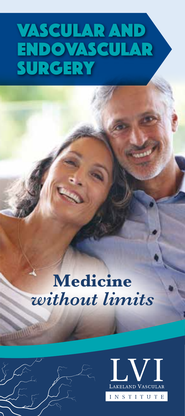# Vascular and Endovascular **SURGERY**

## **Medicine**  *without limits*



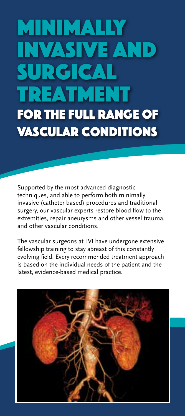# Minimally invasive and surgical treatment for the full range of vascular conditions

Supported by the most advanced diagnostic techniques, and able to perform both minimally invasive (catheter based) procedures and traditional surgery, our vascular experts restore blood flow to the extremities, repair aneurysms and other vessel trauma, and other vascular conditions.

The vascular surgeons at LVI have undergone extensive fellowship training to stay abreast of this constantly evolving field. Every recommended treatment approach is based on the individual needs of the patient and the latest, evidence-based medical practice.

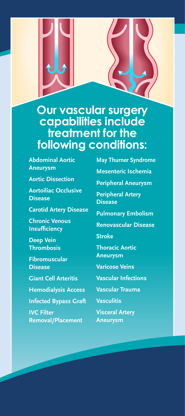

### **Our vascular surgery capabilities include treatment for the following conditions:**

**Abdominal Aortic Aneurysm**

**Aortic Dissection**

**Aortoiliac Occlusive Disease**

**Carotid Artery Disease**

**Chronic Venous Insufficiency**

**Deep Vein Thrombosis**

**Fibromuscular Disease**

**Giant Cell Arteritis**

**Hemodialysis Access**

**Infected Bypass Graft**

**IVC Filter Removal/Placement** **May Thurner Syndrome Mesenteric Ischemia Peripheral Aneurysm Peripheral Artery Disease Pulmonary Embolism Renovascular Disease Stroke Thoracic Aortic Aneurysm Varicose Veins Vascular Infections Vascular Trauma Vasculitis**

**Visceral Artery Aneurysm**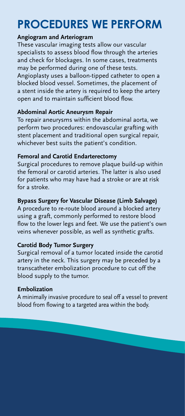### **PROCEDURES WE PERFORM**

#### **Angiogram and Arteriogram**

These vascular imaging tests allow our vascular specialists to assess blood flow through the arteries and check for blockages. In some cases, treatments may be performed during one of these tests. Angioplasty uses a balloon-tipped catheter to open a blocked blood vessel. Sometimes, the placement of a stent inside the artery is required to keep the artery open and to maintain sufficient blood flow.

#### **Abdominal Aortic Aneurysm Repair**

To repair aneurysms within the abdominal aorta, we perform two procedures: endovascular grafting with stent placement and traditional open surgical repair, whichever best suits the patient's condition.

#### **Femoral and Carotid Endarterectomy**

Surgical procedures to remove plaque build-up within the femoral or carotid arteries. The latter is also used for patients who may have had a stroke or are at risk for a stroke.

#### **Bypass Surgery for Vascular Disease (Limb Salvage)**

A procedure to re-route blood around a blocked artery using a graft, commonly performed to restore blood flow to the lower legs and feet. We use the patient's own veins whenever possible, as well as synthetic grafts.

#### **Carotid Body Tumor Surgery**

Surgical removal of a tumor located inside the carotid artery in the neck. This surgery may be preceded by a transcatheter embolization procedure to cut off the blood supply to the tumor.

#### **Embolization**

A minimally invasive procedure to seal off a vessel to prevent blood from flowing to a targeted area within the body.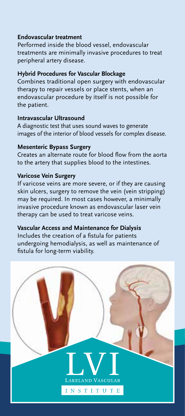#### **Endovascular treatment**

Performed inside the blood vessel, endovascular treatments are minimally invasive procedures to treat peripheral artery disease.

#### **Hybrid Procedures for Vascular Blockage**

Combines traditional open surgery with endovascular therapy to repair vessels or place stents, when an endovascular procedure by itself is not possible for the patient.

#### **Intravascular Ultrasound**

A diagnostic test that uses sound waves to generate images of the interior of blood vessels for complex disease.

#### **Mesenteric Bypass Surgery**

Creates an alternate route for blood flow from the aorta to the artery that supplies blood to the intestines.

#### **Varicose Vein Surgery**

If varicose veins are more severe, or if they are causing skin ulcers, surgery to remove the vein (vein stripping) may be required. In most cases however, a minimally invasive procedure known as endovascular laser vein therapy can be used to treat varicose veins.

#### **Vascular Access and Maintenance for Dialysis**

Includes the creation of a fistula for patients undergoing hemodialysis, as well as maintenance of fistula for long-term viability.